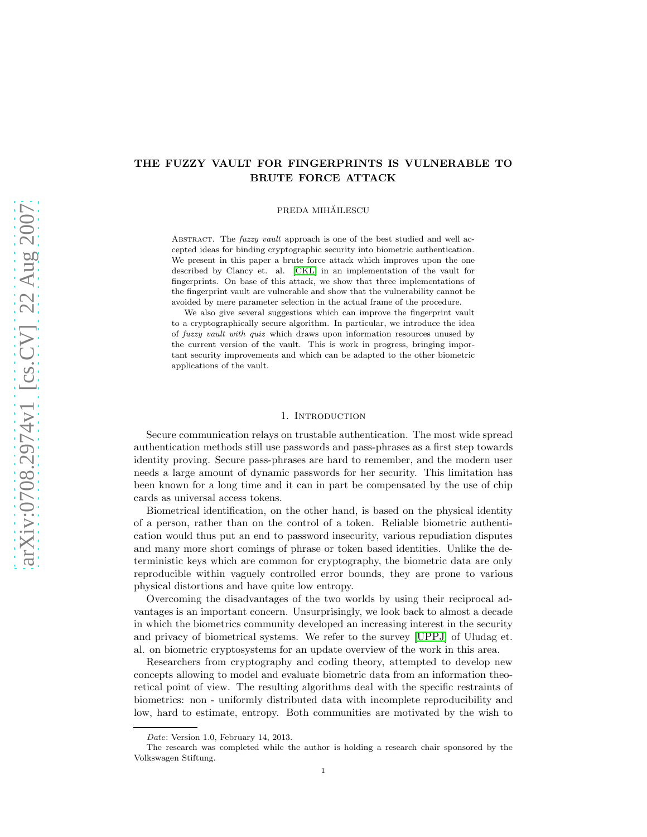# THE FUZZY VAULT FOR FINGERPRINTS IS VULNERABLE TO BRUTE FORCE ATTACK

PREDA MIHĂILESCU

ABSTRACT. The *fuzzy vault* approach is one of the best studied and well accepted ideas for binding cryptographic security into biometric authentication. We present in this paper a brute force attack which improves upon the one described by Clancy et. al. [\[CKL\]](#page-7-0) in an implementation of the vault for fingerprints. On base of this attack, we show that three implementations of the fingerprint vault are vulnerable and show that the vulnerability cannot be avoided by mere parameter selection in the actual frame of the procedure.

We also give several suggestions which can improve the fingerprint vault to a cryptographically secure algorithm. In particular, we introduce the idea of *fuzzy vault with quiz* which draws upon information resources unused by the current version of the vault. This is work in progress, bringing important security improvements and which can be adapted to the other biometric applications of the vault.

# 1. INTRODUCTION

Secure communication relays on trustable authentication. The most wide spread authentication methods still use passwords and pass-phrases as a first step towards identity proving. Secure pass-phrases are hard to remember, and the modern user needs a large amount of dynamic passwords for her security. This limitation has been known for a long time and it can in part be compensated by the use of chip cards as universal access tokens.

Biometrical identification, on the other hand, is based on the physical identity of a person, rather than on the control of a token. Reliable biometric authentication would thus put an end to password insecurity, various repudiation disputes and many more short comings of phrase or token based identities. Unlike the deterministic keys which are common for cryptography, the biometric data are only reproducible within vaguely controlled error bounds, they are prone to various physical distortions and have quite low entropy.

Overcoming the disadvantages of the two worlds by using their reciprocal advantages is an important concern. Unsurprisingly, we look back to almost a decade in which the biometrics community developed an increasing interest in the security and privacy of biometrical systems. We refer to the survey [\[UPPJ\]](#page-7-1) of Uludag et. al. on biometric cryptosystems for an update overview of the work in this area.

Researchers from cryptography and coding theory, attempted to develop new concepts allowing to model and evaluate biometric data from an information theoretical point of view. The resulting algorithms deal with the specific restraints of biometrics: non - uniformly distributed data with incomplete reproducibility and low, hard to estimate, entropy. Both communities are motivated by the wish to

*Date*: Version 1.0, February 14, 2013.

The research was completed while the author is holding a research chair sponsored by the Volkswagen Stiftung.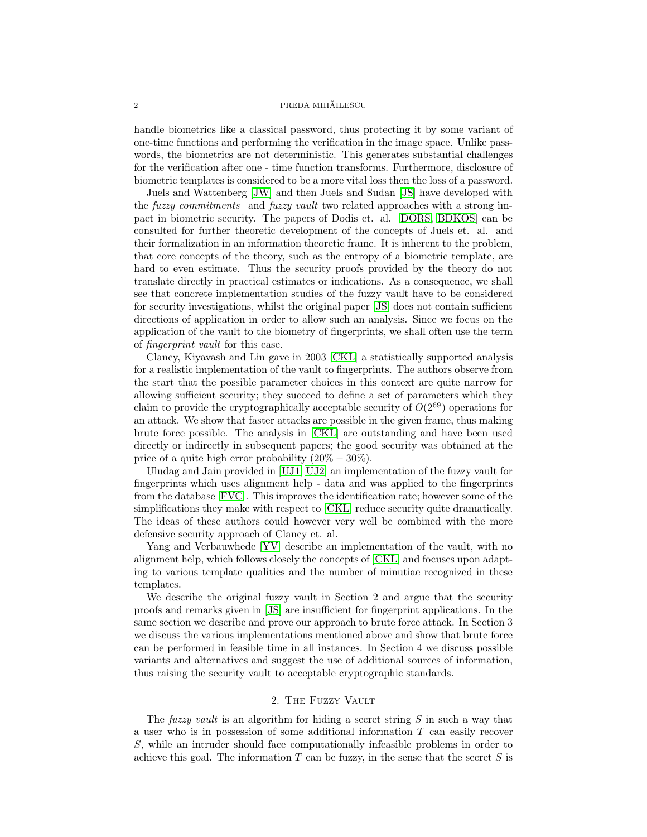## ${\bf PREDA\ MH\check{A}ILESCU}$

handle biometrics like a classical password, thus protecting it by some variant of one-time functions and performing the verification in the image space. Unlike passwords, the biometrics are not deterministic. This generates substantial challenges for the verification after one - time function transforms. Furthermore, disclosure of biometric templates is considered to be a more vital loss then the loss of a password.

Juels and Wattenberg [\[JW\]](#page-7-2) and then Juels and Sudan [\[JS\]](#page-7-3) have developed with the fuzzy commitments and fuzzy vault two related approaches with a strong impact in biometric security. The papers of Dodis et. al. [\[DORS,](#page-7-4) [BDKOS\]](#page-7-5) can be consulted for further theoretic development of the concepts of Juels et. al. and their formalization in an information theoretic frame. It is inherent to the problem, that core concepts of the theory, such as the entropy of a biometric template, are hard to even estimate. Thus the security proofs provided by the theory do not translate directly in practical estimates or indications. As a consequence, we shall see that concrete implementation studies of the fuzzy vault have to be considered for security investigations, whilst the original paper [\[JS\]](#page-7-3) does not contain sufficient directions of application in order to allow such an analysis. Since we focus on the application of the vault to the biometry of fingerprints, we shall often use the term of fingerprint vault for this case.

Clancy, Kiyavash and Lin gave in 2003 [\[CKL\]](#page-7-0) a statistically supported analysis for a realistic implementation of the vault to fingerprints. The authors observe from the start that the possible parameter choices in this context are quite narrow for allowing sufficient security; they succeed to define a set of parameters which they claim to provide the cryptographically acceptable security of  $O(2^{69})$  operations for an attack. We show that faster attacks are possible in the given frame, thus making brute force possible. The analysis in [\[CKL\]](#page-7-0) are outstanding and have been used directly or indirectly in subsequent papers; the good security was obtained at the price of a quite high error probability  $(20\% - 30\%).$ 

Uludag and Jain provided in [\[UJ1,](#page-7-6) [UJ2\]](#page-7-7) an implementation of the fuzzy vault for fingerprints which uses alignment help - data and was applied to the fingerprints from the database [\[FVC\]](#page-7-8). This improves the identification rate; however some of the simplifications they make with respect to [\[CKL\]](#page-7-0) reduce security quite dramatically. The ideas of these authors could however very well be combined with the more defensive security approach of Clancy et. al.

Yang and Verbauwhede [\[YV\]](#page-7-9) describe an implementation of the vault, with no alignment help, which follows closely the concepts of [\[CKL\]](#page-7-0) and focuses upon adapting to various template qualities and the number of minutiae recognized in these templates.

We describe the original fuzzy vault in Section 2 and argue that the security proofs and remarks given in [\[JS\]](#page-7-3) are insufficient for fingerprint applications. In the same section we describe and prove our approach to brute force attack. In Section 3 we discuss the various implementations mentioned above and show that brute force can be performed in feasible time in all instances. In Section 4 we discuss possible variants and alternatives and suggest the use of additional sources of information, thus raising the security vault to acceptable cryptographic standards.

# 2. The Fuzzy Vault

The fuzzy vault is an algorithm for hiding a secret string  $S$  in such a way that a user who is in possession of some additional information T can easily recover S, while an intruder should face computationally infeasible problems in order to achieve this goal. The information  $T$  can be fuzzy, in the sense that the secret  $S$  is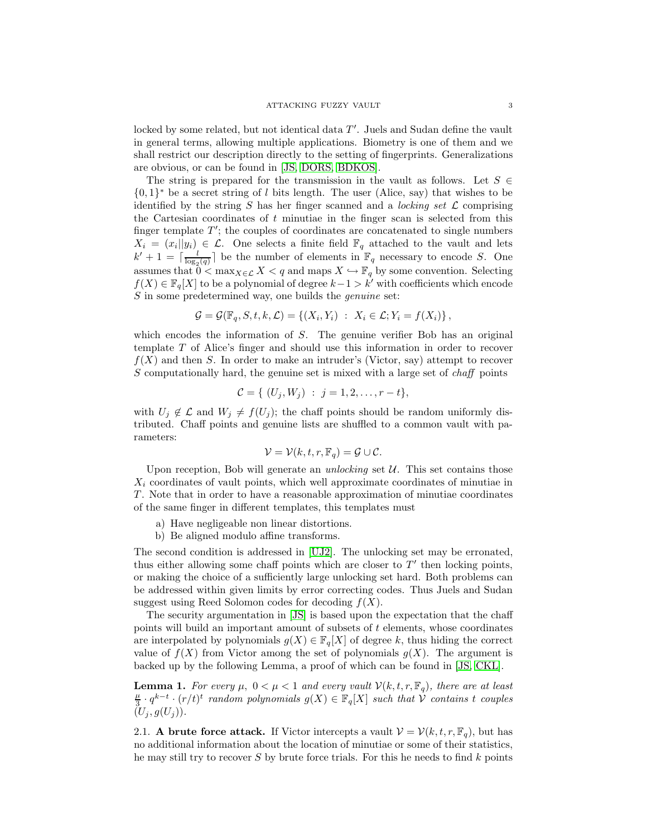locked by some related, but not identical data  $T'$ . Juels and Sudan define the vault in general terms, allowing multiple applications. Biometry is one of them and we shall restrict our description directly to the setting of fingerprints. Generalizations are obvious, or can be found in [\[JS,](#page-7-3) [DORS,](#page-7-4) [BDKOS\]](#page-7-5).

The string is prepared for the transmission in the vault as follows. Let  $S \in$  $\{0,1\}^*$  be a secret string of l bits length. The user (Alice, say) that wishes to be identified by the string S has her finger scanned and a *locking set*  $\mathcal L$  comprising the Cartesian coordinates of t minutiae in the finger scan is selected from this finger template  $T'$ ; the couples of coordinates are concatenated to single numbers  $X_i = (x_i||y_i) \in \mathcal{L}$ . One selects a finite field  $\mathbb{F}_q$  attached to the vault and lets  $k' + 1 = \lceil \frac{l}{\log_2(q)} \rceil$  be the number of elements in  $\mathbb{F}_q$  necessary to encode S. One assumes that  $0 < \max_{X \in \mathcal{L}} X < q$  and maps  $X \hookrightarrow \mathbb{F}_q$  by some convention. Selecting  $f(X) \in \mathbb{F}_q[X]$  to be a polynomial of degree  $k-1 > k'$  with coefficients which encode S in some predetermined way, one builds the *genuine* set:

$$
\mathcal{G} = \mathcal{G}(\mathbb{F}_q, S, t, k, \mathcal{L}) = \{ (X_i, Y_i) : X_i \in \mathcal{L}; Y_i = f(X_i) \},
$$

which encodes the information of S. The genuine verifier Bob has an original template T of Alice's finger and should use this information in order to recover  $f(X)$  and then S. In order to make an intruder's (Victor, say) attempt to recover S computationally hard, the genuine set is mixed with a large set of *chaff* points

$$
\mathcal{C} = \{ (U_j, W_j) : j = 1, 2, \dots, r - t \},\
$$

with  $U_j \notin \mathcal{L}$  and  $W_j \neq f(U_j)$ ; the chaff points should be random uniformly distributed. Chaff points and genuine lists are shuffled to a common vault with parameters:

$$
\mathcal{V} = \mathcal{V}(k, t, r, \mathbb{F}_q) = \mathcal{G} \cup \mathcal{C}.
$$

Upon reception, Bob will generate an *unlocking* set  $U$ . This set contains those  $X_i$  coordinates of vault points, which well approximate coordinates of minutiae in T. Note that in order to have a reasonable approximation of minutiae coordinates of the same finger in different templates, this templates must

- a) Have negligeable non linear distortions.
- b) Be aligned modulo affine transforms.

The second condition is addressed in [\[UJ2\]](#page-7-7). The unlocking set may be erronated, thus either allowing some chaff points which are closer to  $T'$  then locking points, or making the choice of a sufficiently large unlocking set hard. Both problems can be addressed within given limits by error correcting codes. Thus Juels and Sudan suggest using Reed Solomon codes for decoding  $f(X)$ .

The security argumentation in [\[JS\]](#page-7-3) is based upon the expectation that the chaff points will build an important amount of subsets of t elements, whose coordinates are interpolated by polynomials  $g(X) \in \mathbb{F}_q[X]$  of degree k, thus hiding the correct value of  $f(X)$  from Victor among the set of polynomials  $g(X)$ . The argument is backed up by the following Lemma, a proof of which can be found in [\[JS,](#page-7-3) [CKL\]](#page-7-0).

<span id="page-2-0"></span>**Lemma 1.** For every  $\mu$ ,  $0 < \mu < 1$  and every vault  $\mathcal{V}(k, t, r, \mathbb{F}_q)$ , there are at least  $\mu$  $\frac{\mu}{3} \cdot q^{k-t} \cdot (r/t)^t$  random polynomials  $g(X) \in \mathbb{F}_q[X]$  such that  $\mathcal{V}$  contains t couples  $(U_j, g(U_j)).$ 

2.1. A brute force attack. If Victor intercepts a vault  $\mathcal{V} = \mathcal{V}(k, t, r, \mathbb{F}_q)$ , but has no additional information about the location of minutiae or some of their statistics, he may still try to recover  $S$  by brute force trials. For this he needs to find  $k$  points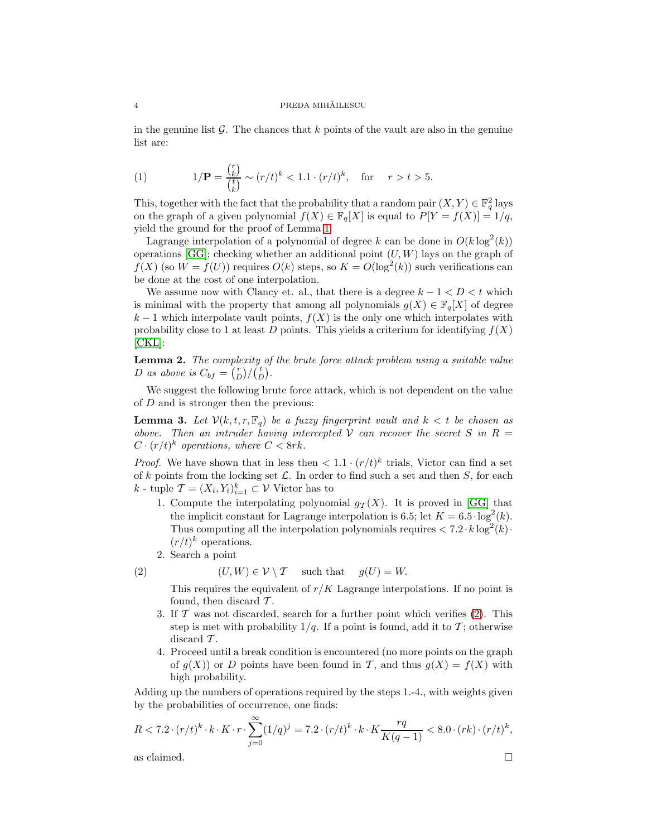in the genuine list  $\mathcal G$ . The chances that k points of the vault are also in the genuine list are:

(1) 
$$
1/\mathbf{P} = \frac{\binom{r}{k}}{\binom{t}{k}} \sim (r/t)^k < 1.1 \cdot (r/t)^k, \text{ for } r > t > 5.
$$

This, together with the fact that the probability that a random pair  $(X, Y) \in \mathbb{F}_q^2$  lays on the graph of a given polynomial  $f(X) \in \mathbb{F}_q[X]$  is equal to  $P[Y = f(X)] = 1/q$ , yield the ground for the proof of Lemma [1.](#page-2-0)

Lagrange interpolation of a polynomial of degree k can be done in  $O(k \log^2(k))$ operations [\[GG\]](#page-7-10); checking whether an additional point  $(U, W)$  lays on the graph of  $f(X)$  (so  $W = f(U)$ ) requires  $O(k)$  steps, so  $K = O(\log^2(k))$  such verifications can be done at the cost of one interpolation.

We assume now with Clancy et. al., that there is a degree  $k - 1 < D < t$  which is minimal with the property that among all polynomials  $g(X) \in \mathbb{F}_q[X]$  of degree  $k-1$  which interpolate vault points,  $f(X)$  is the only one which interpolates with probability close to 1 at least D points. This yields a criterium for identifying  $f(X)$ [\[CKL\]](#page-7-0):

Lemma 2. The complexity of the brute force attack problem using a suitable value D as above is  $C_{bf} = \binom{r}{D} / \binom{t}{D}$ .

We suggest the following brute force attack, which is not dependent on the value of D and is stronger then the previous:

<span id="page-3-1"></span>**Lemma 3.** Let  $V(k, t, r, \mathbb{F}_q)$  be a fuzzy fingerprint vault and  $k < t$  be chosen as above. Then an intruder having intercepted V can recover the secret S in  $R =$  $C \cdot (r/t)^k$  operations, where  $C < 8rk$ .

*Proof.* We have shown that in less then  $\langle 1.1 \cdot (r/t)^k$  trials, Victor can find a set of k points from the locking set  $\mathcal{L}$ . In order to find such a set and then S, for each k - tuple  $\mathcal{T} = (X_i, Y_i)_{i=1}^k \subset \mathcal{V}$  Victor has to

- 1. Compute the interpolating polynomial  $g_T(X)$ . It is proved in [\[GG\]](#page-7-10) that the implicit constant for Lagrange interpolation is 6.5; let  $K = 6.5 \cdot \log^2(k)$ . Thus computing all the interpolation polynomials requires  $< 7.2 \cdot k \log^2(k) \cdot$  $(r/t)^k$  operations.
- 2. Search a point

(2) 
$$
(U, W) \in \mathcal{V} \setminus \mathcal{T}
$$
 such that  $g(U) = W$ .

<span id="page-3-0"></span>This requires the equivalent of  $r/K$  Lagrange interpolations. If no point is found, then discard  $\mathcal{T}$ .

- 3. If  $\mathcal T$  was not discarded, search for a further point which verifies [\(2\)](#page-3-0). This step is met with probability  $1/q$ . If a point is found, add it to T; otherwise discard  $\mathcal{T}$ .
- 4. Proceed until a break condition is encountered (no more points on the graph of  $g(X)$  or D points have been found in T, and thus  $g(X) = f(X)$  with high probability.

Adding up the numbers of operations required by the steps 1.-4., with weights given by the probabilities of occurrence, one finds:

$$
R < 7.2 \cdot (r/t)^k \cdot k \cdot K \cdot r \cdot \sum_{j=0}^{\infty} (1/q)^j = 7.2 \cdot (r/t)^k \cdot k \cdot K \frac{rq}{K(q-1)} < 8.0 \cdot (rk) \cdot (r/t)^k,
$$
\nas claimed.

$$
\qquad \qquad \Box
$$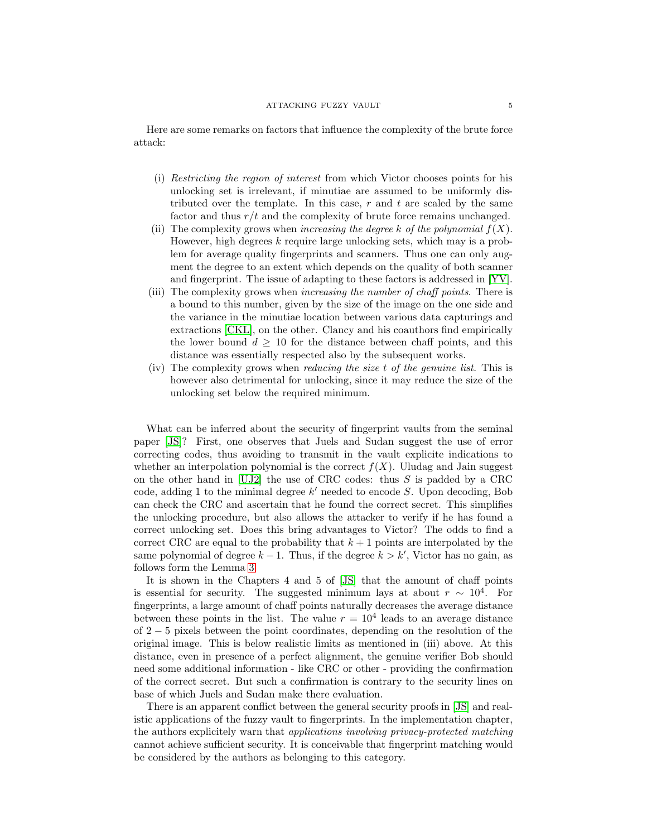Here are some remarks on factors that influence the complexity of the brute force attack:

- (i) Restricting the region of interest from which Victor chooses points for his unlocking set is irrelevant, if minutiae are assumed to be uniformly distributed over the template. In this case,  $r$  and  $t$  are scaled by the same factor and thus  $r/t$  and the complexity of brute force remains unchanged.
- (ii) The complexity grows when increasing the degree k of the polynomial  $f(X)$ . However, high degrees  $k$  require large unlocking sets, which may is a problem for average quality fingerprints and scanners. Thus one can only augment the degree to an extent which depends on the quality of both scanner and fingerprint. The issue of adapting to these factors is addressed in [\[YV\]](#page-7-9).
- (iii) The complexity grows when increasing the number of chaff points. There is a bound to this number, given by the size of the image on the one side and the variance in the minutiae location between various data capturings and extractions [\[CKL\]](#page-7-0), on the other. Clancy and his coauthors find empirically the lower bound  $d \geq 10$  for the distance between chaff points, and this distance was essentially respected also by the subsequent works.
- (iv) The complexity grows when reducing the size t of the genuine list. This is however also detrimental for unlocking, since it may reduce the size of the unlocking set below the required minimum.

What can be inferred about the security of fingerprint vaults from the seminal paper [\[JS\]](#page-7-3)? First, one observes that Juels and Sudan suggest the use of error correcting codes, thus avoiding to transmit in the vault explicite indications to whether an interpolation polynomial is the correct  $f(X)$ . Uludag and Jain suggest on the other hand in  $[UJ2]$  the use of CRC codes: thus S is padded by a CRC code, adding 1 to the minimal degree  $k'$  needed to encode S. Upon decoding, Bob can check the CRC and ascertain that he found the correct secret. This simplifies the unlocking procedure, but also allows the attacker to verify if he has found a correct unlocking set. Does this bring advantages to Victor? The odds to find a correct CRC are equal to the probability that  $k + 1$  points are interpolated by the same polynomial of degree  $k-1$ . Thus, if the degree  $k > k'$ , Victor has no gain, as follows form the Lemma [3.](#page-3-1)

It is shown in the Chapters 4 and 5 of [\[JS\]](#page-7-3) that the amount of chaff points is essential for security. The suggested minimum lays at about  $r \sim 10^4$ . For fingerprints, a large amount of chaff points naturally decreases the average distance between these points in the list. The value  $r = 10^4$  leads to an average distance of 2 − 5 pixels between the point coordinates, depending on the resolution of the original image. This is below realistic limits as mentioned in (iii) above. At this distance, even in presence of a perfect alignment, the genuine verifier Bob should need some additional information - like CRC or other - providing the confirmation of the correct secret. But such a confirmation is contrary to the security lines on base of which Juels and Sudan make there evaluation.

There is an apparent conflict between the general security proofs in [\[JS\]](#page-7-3) and realistic applications of the fuzzy vault to fingerprints. In the implementation chapter, the authors explicitely warn that applications involving privacy-protected matching cannot achieve sufficient security. It is conceivable that fingerprint matching would be considered by the authors as belonging to this category.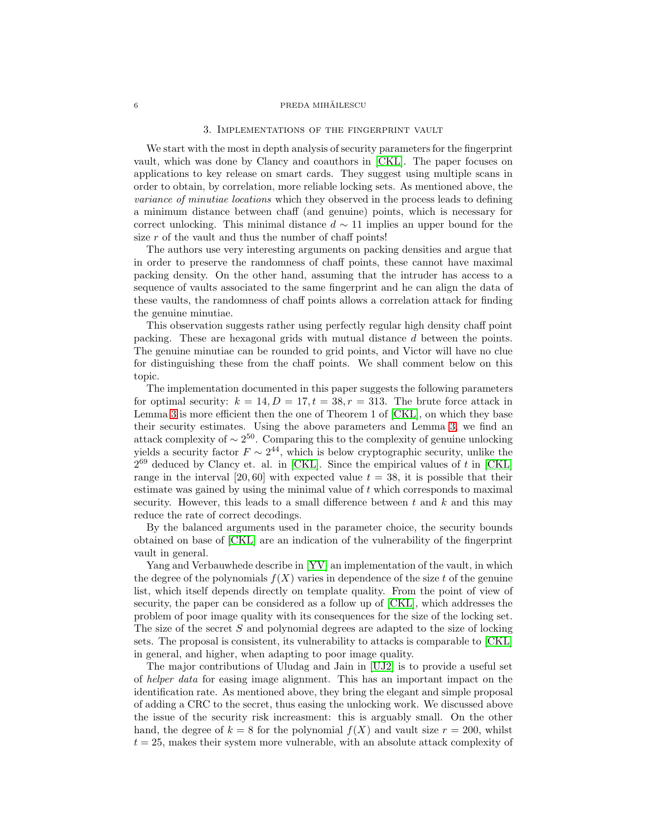#### ${\bf PREDA\ MH\check{A}ILESCU}$

## 3. Implementations of the fingerprint vault

We start with the most in depth analysis of security parameters for the fingerprint vault, which was done by Clancy and coauthors in [\[CKL\]](#page-7-0). The paper focuses on applications to key release on smart cards. They suggest using multiple scans in order to obtain, by correlation, more reliable locking sets. As mentioned above, the variance of minutiae locations which they observed in the process leads to defining a minimum distance between chaff (and genuine) points, which is necessary for correct unlocking. This minimal distance  $d \sim 11$  implies an upper bound for the size  $r$  of the vault and thus the number of chaff points!

The authors use very interesting arguments on packing densities and argue that in order to preserve the randomness of chaff points, these cannot have maximal packing density. On the other hand, assuming that the intruder has access to a sequence of vaults associated to the same fingerprint and he can align the data of these vaults, the randomness of chaff points allows a correlation attack for finding the genuine minutiae.

This observation suggests rather using perfectly regular high density chaff point packing. These are hexagonal grids with mutual distance d between the points. The genuine minutiae can be rounded to grid points, and Victor will have no clue for distinguishing these from the chaff points. We shall comment below on this topic.

The implementation documented in this paper suggests the following parameters for optimal security:  $k = 14, D = 17, t = 38, r = 313$ . The brute force attack in Lemma [3](#page-3-1) is more efficient then the one of Theorem 1 of [\[CKL\]](#page-7-0), on which they base their security estimates. Using the above parameters and Lemma [3,](#page-3-1) we find an attack complexity of  $\sim 2^{50}$ . Comparing this to the complexity of genuine unlocking yields a security factor  $F \sim 2^{44}$ , which is below cryptographic security, unlike the  $2^{69}$  deduced by Clancy et. al. in [\[CKL\]](#page-7-0). Since the empirical values of t in [CKL] range in the interval [20, 60] with expected value  $t = 38$ , it is possible that their estimate was gained by using the minimal value of t which corresponds to maximal security. However, this leads to a small difference between  $t$  and  $k$  and this may reduce the rate of correct decodings.

By the balanced arguments used in the parameter choice, the security bounds obtained on base of [\[CKL\]](#page-7-0) are an indication of the vulnerability of the fingerprint vault in general.

Yang and Verbauwhede describe in [\[YV\]](#page-7-9) an implementation of the vault, in which the degree of the polynomials  $f(X)$  varies in dependence of the size t of the genuine list, which itself depends directly on template quality. From the point of view of security, the paper can be considered as a follow up of [\[CKL\]](#page-7-0), which addresses the problem of poor image quality with its consequences for the size of the locking set. The size of the secret S and polynomial degrees are adapted to the size of locking sets. The proposal is consistent, its vulnerability to attacks is comparable to [\[CKL\]](#page-7-0) in general, and higher, when adapting to poor image quality.

The major contributions of Uludag and Jain in [\[UJ2\]](#page-7-7) is to provide a useful set of helper data for easing image alignment. This has an important impact on the identification rate. As mentioned above, they bring the elegant and simple proposal of adding a CRC to the secret, thus easing the unlocking work. We discussed above the issue of the security risk increasment: this is arguably small. On the other hand, the degree of  $k = 8$  for the polynomial  $f(X)$  and vault size  $r = 200$ , whilst  $t = 25$ , makes their system more vulnerable, with an absolute attack complexity of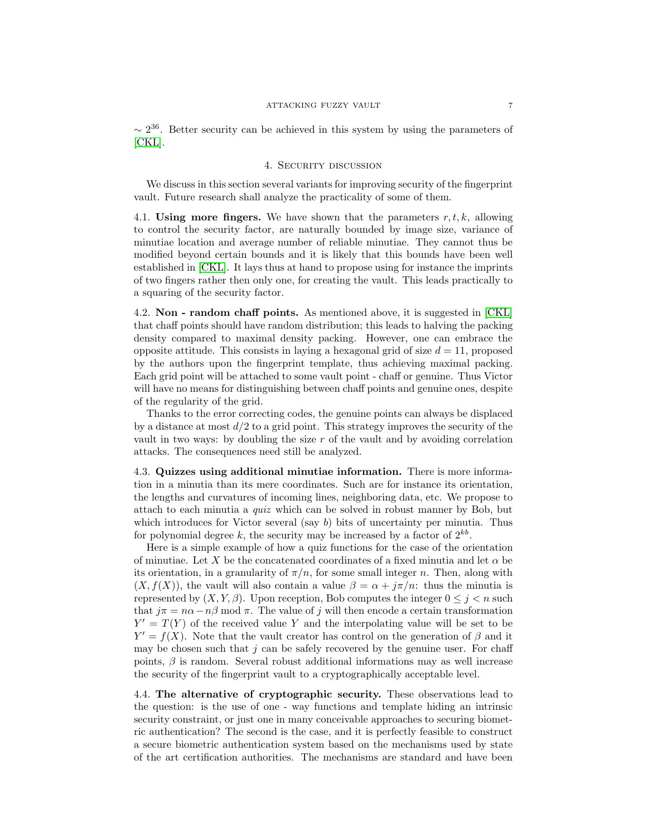$\sim 2^{36}$ . Better security can be achieved in this system by using the parameters of [\[CKL\]](#page-7-0).

## 4. SECURITY DISCUSSION

We discuss in this section several variants for improving security of the fingerprint vault. Future research shall analyze the practicality of some of them.

4.1. Using more fingers. We have shown that the parameters  $r, t, k$ , allowing to control the security factor, are naturally bounded by image size, variance of minutiae location and average number of reliable minutiae. They cannot thus be modified beyond certain bounds and it is likely that this bounds have been well established in [\[CKL\]](#page-7-0). It lays thus at hand to propose using for instance the imprints of two fingers rather then only one, for creating the vault. This leads practically to a squaring of the security factor.

4.2. Non - random chaff points. As mentioned above, it is suggested in [\[CKL\]](#page-7-0) that chaff points should have random distribution; this leads to halving the packing density compared to maximal density packing. However, one can embrace the opposite attitude. This consists in laying a hexagonal grid of size  $d = 11$ , proposed by the authors upon the fingerprint template, thus achieving maximal packing. Each grid point will be attached to some vault point - chaff or genuine. Thus Victor will have no means for distinguishing between chaff points and genuine ones, despite of the regularity of the grid.

Thanks to the error correcting codes, the genuine points can always be displaced by a distance at most  $d/2$  to a grid point. This strategy improves the security of the vault in two ways: by doubling the size r of the vault and by avoiding correlation attacks. The consequences need still be analyzed.

4.3. Quizzes using additional minutiae information. There is more information in a minutia than its mere coordinates. Such are for instance its orientation, the lengths and curvatures of incoming lines, neighboring data, etc. We propose to attach to each minutia a quiz which can be solved in robust manner by Bob, but which introduces for Victor several (say b) bits of uncertainty per minutia. Thus for polynomial degree k, the security may be increased by a factor of  $2^{kb}$ .

Here is a simple example of how a quiz functions for the case of the orientation of minutiae. Let X be the concatenated coordinates of a fixed minutia and let  $\alpha$  be its orientation, in a granularity of  $\pi/n$ , for some small integer n. Then, along with  $(X, f(X))$ , the vault will also contain a value  $\beta = \alpha + j\pi/n$ : thus the minutia is represented by  $(X, Y, \beta)$ . Upon reception, Bob computes the integer  $0 \leq j \leq n$  such that  $j\pi = n\alpha - n\beta$  mod  $\pi$ . The value of j will then encode a certain transformation  $Y' = T(Y)$  of the received value Y and the interpolating value will be set to be  $Y' = f(X)$ . Note that the vault creator has control on the generation of  $\beta$  and it may be chosen such that  $j$  can be safely recovered by the genuine user. For chaff points,  $\beta$  is random. Several robust additional informations may as well increase the security of the fingerprint vault to a cryptographically acceptable level.

4.4. The alternative of cryptographic security. These observations lead to the question: is the use of one - way functions and template hiding an intrinsic security constraint, or just one in many conceivable approaches to securing biometric authentication? The second is the case, and it is perfectly feasible to construct a secure biometric authentication system based on the mechanisms used by state of the art certification authorities. The mechanisms are standard and have been